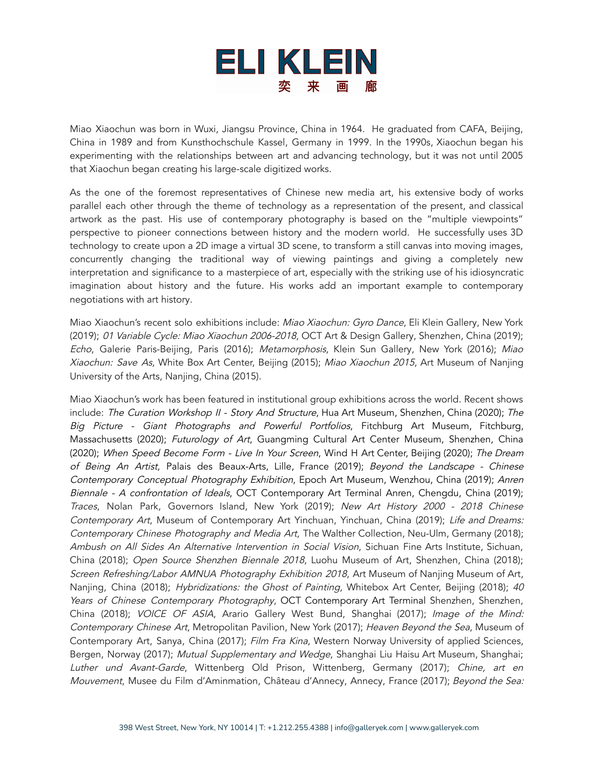

Miao Xiaochun was born in Wuxi, Jiangsu Province, China in 1964. He graduated from CAFA, Beijing, China in 1989 and from Kunsthochschule Kassel, Germany in 1999. In the 1990s, Xiaochun began his experimenting with the relationships between art and advancing technology, but it was not until 2005 that Xiaochun began creating his large-scale digitized works.

As the one of the foremost representatives of Chinese new media art, his extensive body of works parallel each other through the theme of technology as a representation of the present, and classical artwork as the past. His use of contemporary photography is based on the "multiple viewpoints" perspective to pioneer connections between history and the modern world. He successfully uses 3D technology to create upon a 2D image a virtual 3D scene, to transform a still canvas into moving images, concurrently changing the traditional way of viewing paintings and giving a completely new interpretation and significance to a masterpiece of art, especially with the striking use of his idiosyncratic imagination about history and the future. His works add an important example to contemporary negotiations with art history.

Miao Xiaochun's recent solo exhibitions include: Miao Xiaochun: Gyro Dance, Eli Klein Gallery, New York (2019); 01 Variable Cycle: Miao Xiaochun 2006-2018, OCT Art & Design Gallery, Shenzhen, China (2019); Echo, Galerie Paris-Beijing, Paris (2016); Metamorphosis, Klein Sun Gallery, New York (2016); Miao Xiaochun: Save As, White Box Art Center, Beijing (2015); Miao Xiaochun 2015, Art Museum of Nanjing University of the Arts, Nanjing, China (2015).

Miao Xiaochun's work has been featured in institutional group exhibitions across the world. Recent shows include: The Curation Workshop II - Story And Structure, Hua Art Museum, Shenzhen, China (2020); The Big Picture - Giant Photographs and Powerful Portfolios, Fitchburg Art Museum, Fitchburg, Massachusetts (2020); Futurology of Art, Guangming Cultural Art Center Museum, Shenzhen, China (2020); When Speed Become Form - Live In Your Screen, Wind H Art Center, Beijing (2020); The Dream of Being An Artist, Palais des Beaux-Arts, Lille, France (2019); Beyond the Landscape - Chinese Contemporary Conceptual Photography Exhibition, Epoch Art Museum, Wenzhou, China (2019); Anren Biennale - A confrontation of Ideals, OCT Contemporary Art Terminal Anren, Chengdu, China (2019); Traces, Nolan Park, Governors Island, New York (2019); New Art History 2000 - 2018 Chinese Contemporary Art, Museum of Contemporary Art Yinchuan, Yinchuan, China (2019); Life and Dreams: Contemporary Chinese Photography and Media Art, The Walther Collection, Neu-Ulm, Germany (2018); Ambush on All Sides An Alternative Intervention in Social Vision, Sichuan Fine Arts Institute, Sichuan, China (2018); Open Source Shenzhen Biennale 2018, Luohu Museum of Art, Shenzhen, China (2018); Screen Refreshing/Labor AMNUA Photography Exhibition <sup>2018</sup>, Art Museum of Nanjing Museum of Art, Nanjing, China (2018); Hybridizations: the Ghost of Painting, Whitebox Art Center, Beijing (2018); 40 Years of Chinese Contemporary Photography, OCT Contemporary Art Terminal Shenzhen, Shenzhen, China (2018); VOICE OF ASIA, Arario Gallery West Bund, Shanghai (2017); Image of the Mind: Contemporary Chinese Art, Metropolitan Pavilion, New York (2017); Heaven Beyond the Sea, Museum of Contemporary Art, Sanya, China (2017); Film Fra Kina, Western Norway University of applied Sciences, Bergen, Norway (2017); Mutual Supplementary and Wedge, Shanghai Liu Haisu Art Museum, Shanghai; Luther und Avant-Garde, Wittenberg Old Prison, Wittenberg, Germany (2017); Chine, art en Mouvement, Musee du Film d'Aminmation, Château d'Annecy, Annecy, France (2017); Beyond the Sea: